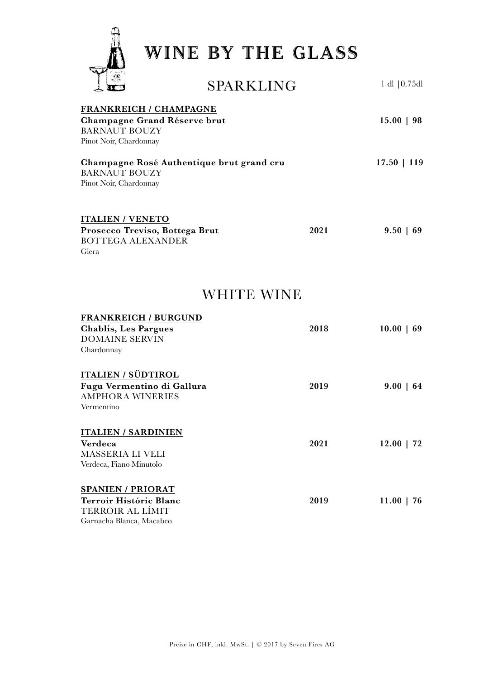

| രാ                                                                                                              | SPARKLING         |      | $1$ dl $ 0.75$ dl |
|-----------------------------------------------------------------------------------------------------------------|-------------------|------|-------------------|
| <b>FRANKREICH / CHAMPAGNE</b><br>Champagne Grand Réserve brut<br><b>BARNAUT BOUZY</b><br>Pinot Noir, Chardonnay |                   |      | $15.00 \mid 98$   |
| Champagne Rosé Authentique brut grand cru<br><b>BARNAUT BOUZY</b><br>Pinot Noir, Chardonnay                     |                   |      | $17.50$   119     |
| <b>ITALIEN / VENETO</b><br>Prosecco Treviso, Bottega Brut<br><b>BOTTEGA ALEXANDER</b><br>Glera                  |                   | 2021 | $9.50 \mid 69$    |
|                                                                                                                 | <b>WHITE WINE</b> |      |                   |
| <b>FRANKREICH / BURGUND</b><br><b>Chablis, Les Pargues</b><br><b>DOMAINE SERVIN</b><br>Chardonnay               |                   | 2018 | $10.00 \mid 69$   |
| <b>ITALIEN / SÜDTIROL</b><br>Fugu Vermentino di Gallura<br><b>AMPHORA WINERIES</b><br>Vermentino                |                   | 2019 | $9.00 \mid 64$    |
| <b>ITALIEN / SARDINIEN</b><br>Verdeca<br>MASSERIA LI VELI<br>Verdeca, Fiano Minutolo                            |                   | 2021 | $12.00$   72      |
| <b>SPANIEN / PRIORAT</b><br>Terroir Históric Blanc<br>TERROIR AL LÍMIT<br>Garnacha Blanca, Macabeo              |                   | 2019 | $11.00$   76      |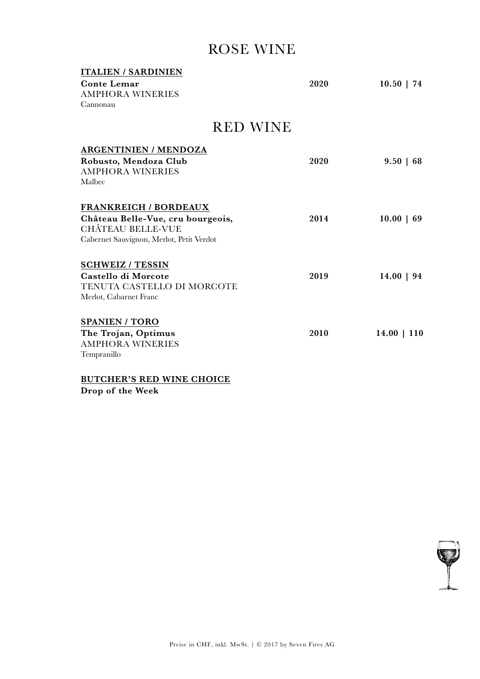### ROSE WINE

| <b>ITALIEN / SARDINIEN</b><br><b>Conte Lemar</b><br><b>AMPHORA WINERIES</b><br>Cannonau | 2020 | $10.50$   74    |
|-----------------------------------------------------------------------------------------|------|-----------------|
|                                                                                         |      |                 |
| <b>RED WINE</b>                                                                         |      |                 |
| <b>ARGENTINIEN / MENDOZA</b>                                                            |      |                 |
| Robusto, Mendoza Club                                                                   | 2020 | $9.50 \mid 68$  |
| <b>AMPHORA WINERIES</b>                                                                 |      |                 |
| Malbec                                                                                  |      |                 |
| <b>FRANKREICH / BORDEAUX</b>                                                            |      |                 |
| Château Belle-Vue, cru bourgeois,                                                       | 2014 | $10.00 \mid 69$ |
| <b>CHÂTEAU BELLE-VUE</b>                                                                |      |                 |
| Cabernet Sauvignon, Merlot, Petit Verdot                                                |      |                 |
| <b>SCHWEIZ / TESSIN</b>                                                                 |      |                 |
| Castello di Morcote                                                                     | 2019 | $14.00 \mid 94$ |
| TENUTA CASTELLO DI MORCOTE                                                              |      |                 |
| Merlot, Cabarnet Franc                                                                  |      |                 |
| <b>SPANIEN / TORO</b>                                                                   |      |                 |
| The Trojan, Optimus                                                                     | 2010 | $14.00$   110   |
| <b>AMPHORA WINERIES</b>                                                                 |      |                 |
| Tempranillo                                                                             |      |                 |
|                                                                                         |      |                 |

BUTCHER'S RED WINE CHOICE

Drop of the Week

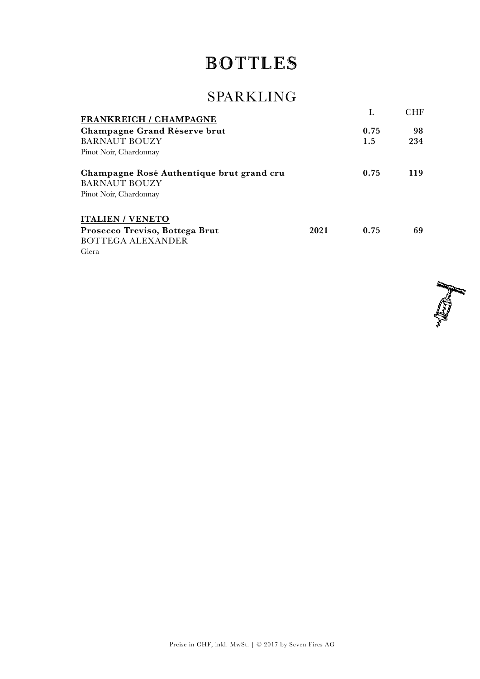# **BOTTLES**

## SPARKLING

| <b>FRANKREICH / CHAMPAGNE</b>             |      |      | CHF |
|-------------------------------------------|------|------|-----|
| Champagne Grand Réserve brut              |      | 0.75 | 98  |
| <b>BARNAUT BOUZY</b>                      |      | 1.5  | 234 |
| Pinot Noir, Chardonnay                    |      |      |     |
| Champagne Rosé Authentique brut grand cru |      | 0.75 | 119 |
| <b>BARNAUT BOUZY</b>                      |      |      |     |
| Pinot Noir, Chardonnay                    |      |      |     |
| <b>ITALIEN / VENETO</b>                   |      |      |     |
| Prosecco Treviso, Bottega Brut            | 2021 | 0.75 | 69  |
| <b>BOTTEGA ALEXANDER</b>                  |      |      |     |
| Glera                                     |      |      |     |



Preise in CHF, inkl. MwSt. | © 2017 by Seven Fires AG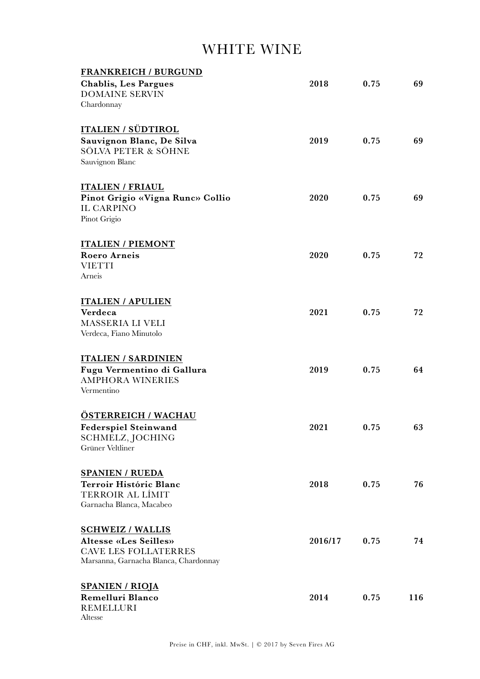### WHITE WINE

| <b>FRANKREICH / BURGUND</b>                           |         |      |     |
|-------------------------------------------------------|---------|------|-----|
| <b>Chablis, Les Pargues</b>                           | 2018    | 0.75 | 69  |
| <b>DOMAINE SERVIN</b>                                 |         |      |     |
| Chardonnay                                            |         |      |     |
|                                                       |         |      |     |
| <b>ITALIEN / SÜDTIROL</b>                             |         |      |     |
| Sauvignon Blanc, De Silva                             | 2019    | 0.75 | 69  |
| SÖLVA PETER & SÖHNE                                   |         |      |     |
| Sauvignon Blanc                                       |         |      |     |
|                                                       |         |      |     |
|                                                       |         |      |     |
| <b>ITALIEN / FRIAUL</b>                               |         |      |     |
| Pinot Grigio «Vigna Runc» Collio                      | 2020    | 0.75 | 69  |
| <b>IL CARPINO</b>                                     |         |      |     |
| Pinot Grigio                                          |         |      |     |
|                                                       |         |      |     |
| <b>ITALIEN / PIEMONT</b>                              |         |      |     |
| <b>Roero Arneis</b>                                   | 2020    | 0.75 | 72  |
| <b>VIETTI</b>                                         |         |      |     |
| Arneis                                                |         |      |     |
|                                                       |         |      |     |
| <b>ITALIEN / APULIEN</b>                              |         |      |     |
| Verdeca                                               | 2021    | 0.75 | 72  |
| MASSERIA LI VELI                                      |         |      |     |
| Verdeca, Fiano Minutolo                               |         |      |     |
|                                                       |         |      |     |
| <b>ITALIEN / SARDINIEN</b>                            |         |      |     |
|                                                       |         | 0.75 | 64  |
| Fugu Vermentino di Gallura<br><b>AMPHORA WINERIES</b> | 2019    |      |     |
| Vermentino                                            |         |      |     |
|                                                       |         |      |     |
|                                                       |         |      |     |
| <b>ÖSTERREICH / WACHAU</b>                            |         |      |     |
| <b>Federspiel Steinwand</b>                           | 2021    | 0.75 | 63  |
| SCHMELZ, JOCHING                                      |         |      |     |
| Grüner Veltliner                                      |         |      |     |
|                                                       |         |      |     |
| <b>SPANIEN / RUEDA</b>                                |         |      |     |
| Terroir Históric Blanc                                | 2018    | 0.75 | 76  |
| TERROIR AL LÍMIT                                      |         |      |     |
| Garnacha Blanca, Macabeo                              |         |      |     |
|                                                       |         |      |     |
| <b>SCHWEIZ / WALLIS</b>                               |         |      |     |
| <b>Altesse «Les Seilles»</b>                          | 2016/17 | 0.75 | 74  |
| <b>CAVE LES FOLLATERRES</b>                           |         |      |     |
| Marsanna, Garnacha Blanca, Chardonnay                 |         |      |     |
|                                                       |         |      |     |
| <b>SPANIEN / RIOJA</b>                                |         |      |     |
| Remelluri Blanco                                      | 2014    | 0.75 | 116 |
| <b>REMELLURI</b>                                      |         |      |     |
| Altesse                                               |         |      |     |
|                                                       |         |      |     |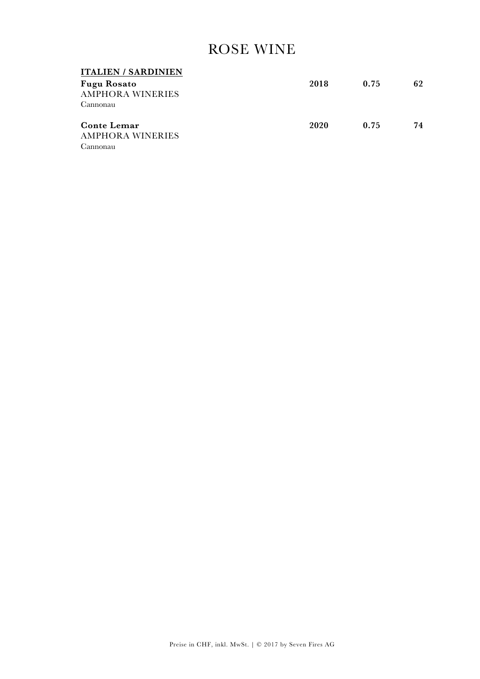### ROSE WINE

| <b>ITALIEN / SARDINIEN</b> |      |      |    |
|----------------------------|------|------|----|
| <b>Fugu Rosato</b>         | 2018 | 0.75 | 62 |
| <b>AMPHORA WINERIES</b>    |      |      |    |
| Cannonau                   |      |      |    |
| <b>Conte Lemar</b>         | 2020 | 0.75 | 74 |
| <b>AMPHORA WINERIES</b>    |      |      |    |
|                            |      |      |    |
| Cannonau                   |      |      |    |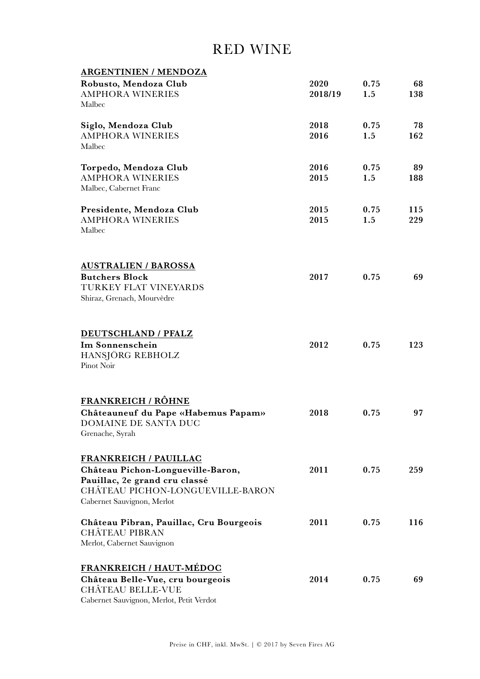#### RED WINE

| <b>ARGENTINIEN / MENDOZA</b>             |         |      |     |
|------------------------------------------|---------|------|-----|
| Robusto, Mendoza Club                    | 2020    | 0.75 | 68  |
| <b>AMPHORA WINERIES</b>                  | 2018/19 | 1.5  | 138 |
| Malbec                                   |         |      |     |
| Siglo, Mendoza Club                      | 2018    | 0.75 | 78  |
| <b>AMPHORA WINERIES</b>                  | 2016    | 1.5  | 162 |
| Malbec                                   |         |      |     |
| Torpedo, Mendoza Club                    | 2016    | 0.75 | 89  |
| <b>AMPHORA WINERIES</b>                  | 2015    | 1.5  | 188 |
| Malbec, Cabernet Franc                   |         |      |     |
| Presidente, Mendoza Club                 | 2015    | 0.75 | 115 |
| <b>AMPHORA WINERIES</b>                  | 2015    | 1.5  | 229 |
| Malbec                                   |         |      |     |
| <b>AUSTRALIEN / BAROSSA</b>              |         |      |     |
| <b>Butchers Block</b>                    | 2017    | 0.75 | 69  |
| TURKEY FLAT VINEYARDS                    |         |      |     |
| Shiraz, Grenach, Mourvèdre               |         |      |     |
|                                          |         |      |     |
| DEUTSCHLAND / PFALZ                      |         |      |     |
| Im Sonnenschein                          | 2012    | 0.75 | 123 |
| HANSJÖRG REBHOLZ                         |         |      |     |
| Pinot Noir                               |         |      |     |
| <b>FRANKREICH / RÔHNE</b>                |         |      |     |
| Châteauneuf du Pape «Habemus Papam»      | 2018    | 0.75 | 97  |
| DOMAINE DE SANTA DUC                     |         |      |     |
| Grenache, Syrah                          |         |      |     |
| <b>FRANKREICH / PAUILLAC</b>             |         |      |     |
| Château Pichon-Longueville-Baron,        | 2011    | 0.75 | 259 |
| Pauillac, 2e grand cru classé            |         |      |     |
| CHÂTEAU PICHON-LONGUEVILLE-BARON         |         |      |     |
| Cabernet Sauvignon, Merlot               |         |      |     |
| Château Pibran, Pauillac, Cru Bourgeois  | 2011    | 0.75 | 116 |
| <b>CHÂTEAU PIBRAN</b>                    |         |      |     |
| Merlot, Cabernet Sauvignon               |         |      |     |
| <b>FRANKREICH / HAUT-MÉDOC</b>           |         |      |     |
| Château Belle-Vue, cru bourgeois         | 2014    | 0.75 | 69  |
| <b>CHÂTEAU BELLE-VUE</b>                 |         |      |     |
| Cabernet Sauvignon, Merlot, Petit Verdot |         |      |     |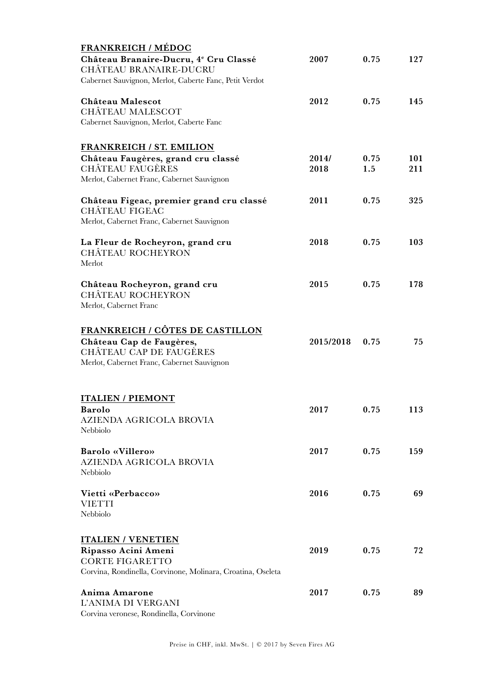| <b>FRANKREICH / MÉDOC</b>                                                                                                                   |               |             |            |
|---------------------------------------------------------------------------------------------------------------------------------------------|---------------|-------------|------------|
| Château Branaire-Ducru, 4 <sup>e</sup> Cru Classé<br>CHÂTEAU BRANAIRE-DUCRU                                                                 | 2007          | 0.75        | 127        |
| Cabernet Sauvignon, Merlot, Caberte Fanc, Petit Verdot                                                                                      |               |             |            |
| Château Malescot<br><b>CHÂTEAU MALESCOT</b><br>Cabernet Sauvignon, Merlot, Caberte Fanc                                                     | 2012          | 0.75        | 145        |
|                                                                                                                                             |               |             |            |
| <b>FRANKREICH / ST. EMILION</b>                                                                                                             |               |             |            |
| Château Faugères, grand cru classé<br><b>CHÂTEAU FAUGÈRES</b><br>Merlot, Cabernet Franc, Cabernet Sauvignon                                 | 2014/<br>2018 | 0.75<br>1.5 | 101<br>211 |
| Château Figeac, premier grand cru classé<br><b>CHÂTEAU FIGEAC</b>                                                                           | 2011          | 0.75        | 325        |
| Merlot, Cabernet Franc, Cabernet Sauvignon                                                                                                  |               |             |            |
| La Fleur de Rocheyron, grand cru<br><b>CHÂTEAU ROCHEYRON</b><br>Merlot                                                                      | 2018          | 0.75        | 103        |
| Château Rocheyron, grand cru<br>CHÂTEAU ROCHEYRON<br>Merlot, Cabernet Franc                                                                 | 2015          | 0.75        | 178        |
| <b>FRANKREICH / CÔTES DE CASTILLON</b><br>Château Cap de Faugères,<br>CHÂTEAU CAP DE FAUGÈRES<br>Merlot, Cabernet Franc, Cabernet Sauvignon | 2015/2018     | 0.75        | 75         |
| <b>ITALIEN / PIEMONT</b><br><b>Barolo</b><br>AZIENDA AGRICOLA BROVIA<br>Nebbiolo                                                            | 2017          | 0.75        | 113        |
| Barolo «Villero»<br>AZIENDA AGRICOLA BROVIA<br>Nebbiolo                                                                                     | 2017          | 0.75        | 159        |
| Vietti «Perbacco»<br><b>VIETTI</b><br>Nebbiolo                                                                                              | 2016          | 0.75        | 69         |
| <b>ITALIEN / VENETIEN</b><br>Ripasso Acini Ameni<br><b>CORTE FIGARETTO</b><br>Corvina, Rondinella, Corvinone, Molinara, Croatina, Oseleta   | 2019          | 0.75        | 72         |
| Anima Amarone<br>L'ANIMA DI VERGANI                                                                                                         | 2017          | 0.75        | 89         |

Corvina veronese, Rondinella, Corvinone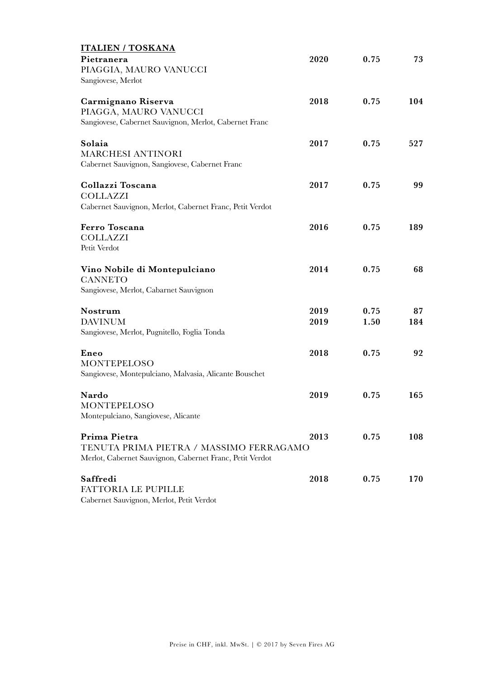| <b>ITALIEN / TOSKANA</b>                                 |      |      |     |
|----------------------------------------------------------|------|------|-----|
| Pietranera                                               | 2020 | 0.75 | 73  |
| PIAGGIA, MAURO VANUCCI                                   |      |      |     |
| Sangiovese, Merlot                                       |      |      |     |
| Carmignano Riserva                                       | 2018 | 0.75 | 104 |
| PIAGGA, MAURO VANUCCI                                    |      |      |     |
| Sangiovese, Cabernet Sauvignon, Merlot, Cabernet Franc   |      |      |     |
| Solaia                                                   | 2017 | 0.75 | 527 |
| <b>MARCHESI ANTINORI</b>                                 |      |      |     |
| Cabernet Sauvignon, Sangiovese, Cabernet Franc           |      |      |     |
| Collazzi Toscana                                         | 2017 | 0.75 | 99  |
| <b>COLLAZZI</b>                                          |      |      |     |
| Cabernet Sauvignon, Merlot, Cabernet Franc, Petit Verdot |      |      |     |
| <b>Ferro Toscana</b>                                     | 2016 | 0.75 | 189 |
| <b>COLLAZZI</b>                                          |      |      |     |
| Petit Verdot                                             |      |      |     |
| Vino Nobile di Montepulciano                             | 2014 | 0.75 | 68  |
| <b>CANNETO</b>                                           |      |      |     |
| Sangiovese, Merlot, Cabarnet Sauvignon                   |      |      |     |
| Nostrum                                                  | 2019 | 0.75 | 87  |
| <b>DAVINUM</b>                                           | 2019 | 1.50 | 184 |
| Sangiovese, Merlot, Pugnitello, Foglia Tonda             |      |      |     |
| Eneo                                                     | 2018 | 0.75 | 92  |
| <b>MONTEPELOSO</b>                                       |      |      |     |
| Sangiovese, Montepulciano, Malvasia, Alicante Bouschet   |      |      |     |
| Nardo                                                    | 2019 | 0.75 | 165 |
| MONTEPELOSO                                              |      |      |     |
| Montepulciano, Sangiovese, Alicante                      |      |      |     |
| Prima Pietra                                             | 2013 | 0.75 | 108 |
| TENUTA PRIMA PIETRA / MASSIMO FERRAGAMO                  |      |      |     |
| Merlot, Cabernet Sauvignon, Cabernet Franc, Petit Verdot |      |      |     |
| Saffredi                                                 | 2018 | 0.75 | 170 |
| <b>FATTORIA LE PUPILLE</b>                               |      |      |     |
| Cabernet Sauvignon, Merlot, Petit Verdot                 |      |      |     |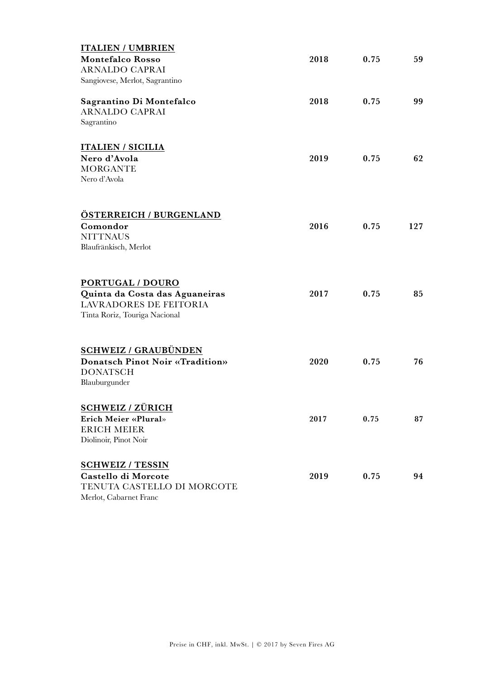| <b>ITALIEN / UMBRIEN</b>                                  |      |      |     |
|-----------------------------------------------------------|------|------|-----|
| <b>Montefalco Rosso</b>                                   | 2018 | 0.75 | 59  |
| <b>ARNALDO CAPRAI</b>                                     |      |      |     |
| Sangiovese, Merlot, Sagrantino                            |      |      |     |
| Sagrantino Di Montefalco                                  | 2018 | 0.75 | 99  |
| <b>ARNALDO CAPRAI</b>                                     |      |      |     |
| Sagrantino                                                |      |      |     |
| <b>ITALIEN / SICILIA</b>                                  |      |      |     |
| Nero d'Avola                                              | 2019 | 0.75 | 62  |
| <b>MORGANTE</b>                                           |      |      |     |
| Nero d'Avola                                              |      |      |     |
|                                                           |      |      |     |
| ÖSTERREICH / BURGENLAND                                   |      |      |     |
| Comondor                                                  | 2016 | 0.75 | 127 |
| <b>NITTNAUS</b>                                           |      |      |     |
| Blaufränkisch, Merlot                                     |      |      |     |
| PORTUGAL / DOURO                                          |      |      |     |
| Quinta da Costa das Aguaneiras                            | 2017 | 0.75 | 85  |
| <b>LAVRADORES DE FEITORIA</b>                             |      |      |     |
| Tinta Roriz, Touriga Nacional                             |      |      |     |
|                                                           |      |      |     |
| <b>SCHWEIZ / GRAUBÜNDEN</b>                               |      |      |     |
| <b>Donatsch Pinot Noir «Tradition»</b><br><b>DONATSCH</b> | 2020 | 0.75 | 76  |
| Blauburgunder                                             |      |      |     |
| <b>SCHWEIZ / ZÜRICH</b>                                   |      |      |     |
| Erich Meier «Plural»                                      | 2017 | 0.75 | 87  |
| <b>ERICH MEIER</b>                                        |      |      |     |
| Diolinoir, Pinot Noir                                     |      |      |     |
| <b>SCHWEIZ / TESSIN</b>                                   |      |      |     |
| Castello di Morcote                                       | 2019 | 0.75 | 94  |
| TENUTA CASTELLO DI MORCOTE                                |      |      |     |
| Merlot, Cabarnet Franc                                    |      |      |     |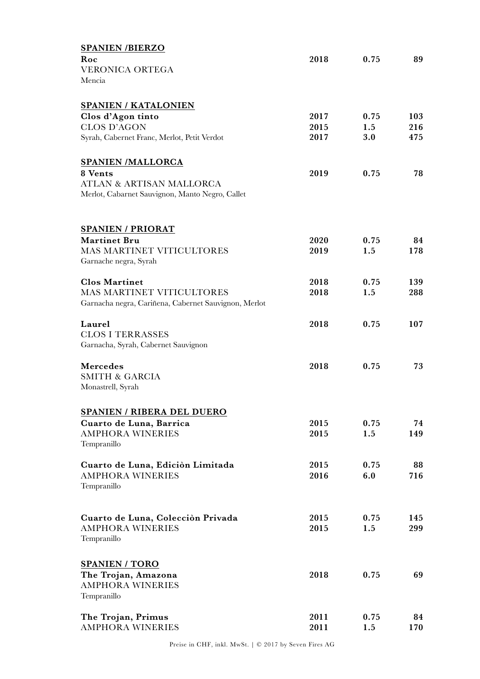| <b>SPANIEN/BIERZO</b>                                |      |      |     |
|------------------------------------------------------|------|------|-----|
| Roc                                                  | 2018 | 0.75 | 89  |
| <b>VERONICA ORTEGA</b>                               |      |      |     |
| Mencia                                               |      |      |     |
|                                                      |      |      |     |
| <b>SPANIEN / KATALONIEN</b>                          |      |      |     |
| Clos d'Agon tinto                                    | 2017 | 0.75 | 103 |
| <b>CLOS D'AGON</b>                                   | 2015 | 1.5  | 216 |
| Syrah, Cabernet Franc, Merlot, Petit Verdot          | 2017 | 3.0  | 475 |
|                                                      |      |      |     |
|                                                      |      |      |     |
| <b>SPANIEN /MALLORCA</b>                             |      |      |     |
| 8 Vents                                              | 2019 | 0.75 | 78  |
| ATLAN & ARTISAN MALLORCA                             |      |      |     |
| Merlot, Cabarnet Sauvignon, Manto Negro, Callet      |      |      |     |
|                                                      |      |      |     |
|                                                      |      |      |     |
| <b>SPANIEN / PRIORAT</b>                             |      |      |     |
| <b>Martinet Bru</b>                                  | 2020 | 0.75 | 84  |
| MAS MARTINET VITICULTORES                            | 2019 | 1.5  | 178 |
| Garnache negra, Syrah                                |      |      |     |
|                                                      |      |      |     |
| <b>Clos Martinet</b>                                 | 2018 | 0.75 | 139 |
| <b>MAS MARTINET VITICULTORES</b>                     | 2018 | 1.5  | 288 |
| Garnacha negra, Cariñena, Cabernet Sauvignon, Merlot |      |      |     |
| Laurel                                               | 2018 | 0.75 |     |
| <b>CLOS I TERRASSES</b>                              |      |      | 107 |
| Garnacha, Syrah, Cabernet Sauvignon                  |      |      |     |
|                                                      |      |      |     |
| <b>Mercedes</b>                                      | 2018 | 0.75 | 73  |
| <b>SMITH &amp; GARCIA</b>                            |      |      |     |
| Monastrell, Syrah                                    |      |      |     |
|                                                      |      |      |     |
|                                                      |      |      |     |
| SPANIEN / RIBERA DEL DUERO                           |      |      |     |
| Cuarto de Luna, Barrica                              | 2015 | 0.75 | 74  |
| <b>AMPHORA WINERIES</b>                              | 2015 | 1.5  | 149 |
| Tempranillo                                          |      |      |     |
| Cuarto de Luna, Edición Limitada                     | 2015 | 0.75 | 88  |
| <b>AMPHORA WINERIES</b>                              | 2016 | 6.0  | 716 |
| Tempranillo                                          |      |      |     |
|                                                      |      |      |     |
|                                                      |      |      |     |
| Cuarto de Luna, Colección Privada                    | 2015 | 0.75 | 145 |
| <b>AMPHORA WINERIES</b>                              | 2015 | 1.5  | 299 |
| Tempranillo                                          |      |      |     |
|                                                      |      |      |     |
| <b>SPANIEN / TORO</b>                                |      |      |     |
|                                                      | 2018 | 0.75 | 69  |
| The Trojan, Amazona<br><b>AMPHORA WINERIES</b>       |      |      |     |
| Tempranillo                                          |      |      |     |
|                                                      |      |      |     |
| The Trojan, Primus                                   | 2011 | 0.75 | 84  |
| <b>AMPHORA WINERIES</b>                              | 2011 | 1.5  | 170 |
|                                                      |      |      |     |